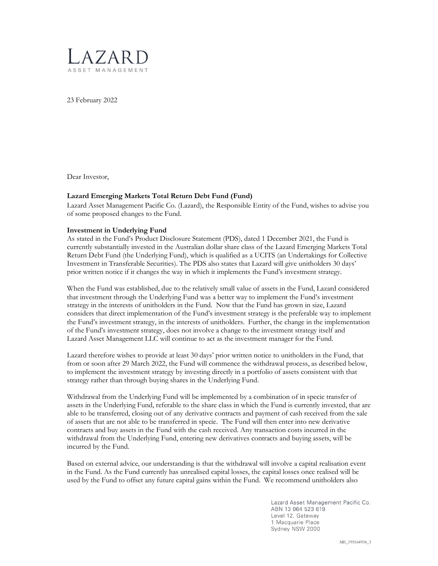

23 February 2022

Dear Investor,

## Lazard Emerging Markets Total Return Debt Fund (Fund)

Lazard Asset Management Pacific Co. (Lazard), the Responsible Entity of the Fund, wishes to advise you of some proposed changes to the Fund.

## Investment in Underlying Fund

As stated in the Fund's Product Disclosure Statement (PDS), dated 1 December 2021, the Fund is currently substantially invested in the Australian dollar share class of the Lazard Emerging Markets Total Return Debt Fund (the Underlying Fund), which is qualified as a UCITS (an Undertakings for Collective Investment in Transferable Securities). The PDS also states that Lazard will give unitholders 30 days' prior written notice if it changes the way in which it implements the Fund's investment strategy.

When the Fund was established, due to the relatively small value of assets in the Fund, Lazard considered that investment through the Underlying Fund was a better way to implement the Fund's investment strategy in the interests of unitholders in the Fund. Now that the Fund has grown in size, Lazard considers that direct implementation of the Fund's investment strategy is the preferable way to implement the Fund's investment strategy, in the interests of unitholders. Further, the change in the implementation of the Fund's investment strategy, does not involve a change to the investment strategy itself and Lazard Asset Management LLC will continue to act as the investment manager for the Fund.

Lazard therefore wishes to provide at least 30 days' prior written notice to unitholders in the Fund, that from or soon after 29 March 2022, the Fund will commence the withdrawal process, as described below, to implement the investment strategy by investing directly in a portfolio of assets consistent with that strategy rather than through buying shares in the Underlying Fund.

Withdrawal from the Underlying Fund will be implemented by a combination of in specie transfer of assets in the Underlying Fund, referable to the share class in which the Fund is currently invested, that are able to be transferred, closing out of any derivative contracts and payment of cash received from the sale of assets that are not able to be transferred in specie. The Fund will then enter into new derivative contracts and buy assets in the Fund with the cash received. Any transaction costs incurred in the withdrawal from the Underlying Fund, entering new derivatives contracts and buying assets, will be incurred by the Fund.

Based on external advice, our understanding is that the withdrawal will involve a capital realisation event in the Fund. As the Fund currently has unrealised capital losses, the capital losses once realised will be used by the Fund to offset any future capital gains within the Fund. We recommend unitholders also

> Lazard Asset Management Pacific Co. ABN 13 064 523 619 Level 12, Gateway 1 Macquarie Place Sydney NSW 2000